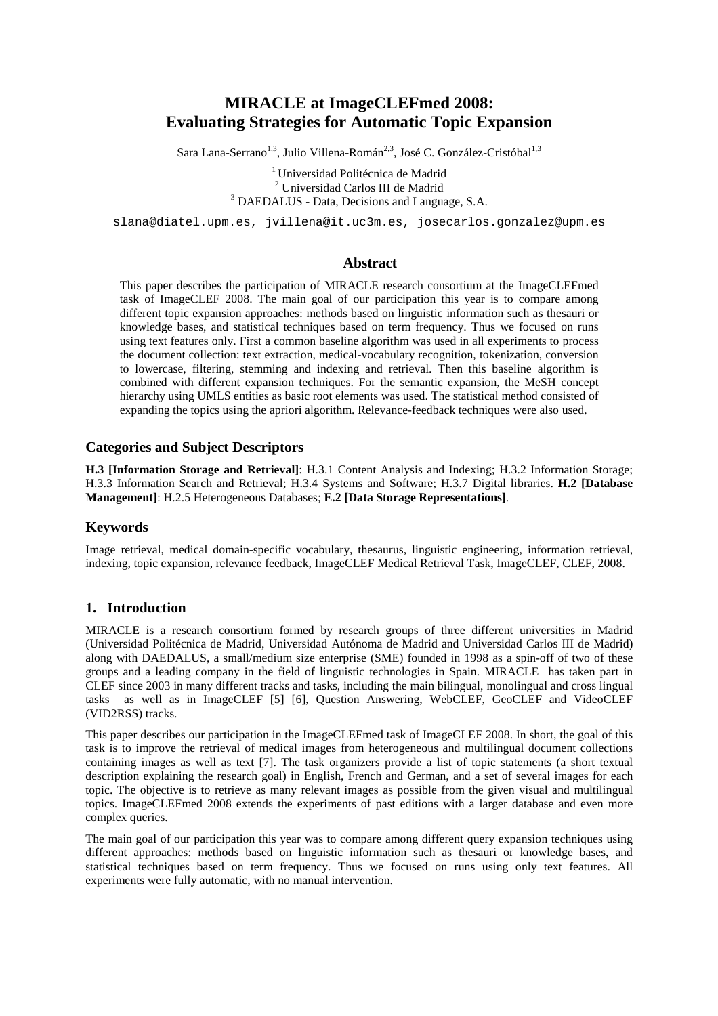# **MIRACLE at ImageCLEFmed 2008: Evaluating Strategies for Automatic Topic Expansion**

Sara Lana-Serrano<sup>1,3</sup>, Julio Villena-Román<sup>2,3</sup>, José C. González-Cristóbal<sup>1,3</sup>

<sup>1</sup> Universidad Politécnica de Madrid 2 Universidad Carlos III de Madrid <sup>3</sup> DAEDALUS - Data, Decisions and Language, S.A.

slana@diatel.upm.es, jvillena@it.uc3m.es, josecarlos.gonzalez@upm.es

#### **Abstract**

This paper describes the participation of MIRACLE research consortium at the ImageCLEFmed task of ImageCLEF 2008. The main goal of our participation this year is to compare among different topic expansion approaches: methods based on linguistic information such as thesauri or knowledge bases, and statistical techniques based on term frequency. Thus we focused on runs using text features only. First a common baseline algorithm was used in all experiments to process the document collection: text extraction, medical-vocabulary recognition, tokenization, conversion to lowercase, filtering, stemming and indexing and retrieval. Then this baseline algorithm is combined with different expansion techniques. For the semantic expansion, the MeSH concept hierarchy using UMLS entities as basic root elements was used. The statistical method consisted of expanding the topics using the apriori algorithm. Relevance-feedback techniques were also used.

#### **Categories and Subject Descriptors**

**H.3 [Information Storage and Retrieval]**: H.3.1 Content Analysis and Indexing; H.3.2 Information Storage; H.3.3 Information Search and Retrieval; H.3.4 Systems and Software; H.3.7 Digital libraries. **H.2 [Database Management]**: H.2.5 Heterogeneous Databases; **E.2 [Data Storage Representations]**.

## **Keywords**

Image retrieval, medical domain-specific vocabulary, thesaurus, linguistic engineering, information retrieval, indexing, topic expansion, relevance feedback, ImageCLEF Medical Retrieval Task, ImageCLEF, CLEF, 2008.

#### **1. Introduction**

MIRACLE is a research consortium formed by research groups of three different universities in Madrid (Universidad Politécnica de Madrid, Universidad Autónoma de Madrid and Universidad Carlos III de Madrid) along with DAEDALUS, a small/medium size enterprise (SME) founded in 1998 as a spin-off of two of these groups and a leading company in the field of linguistic technologies in Spain. MIRACLE has taken part in CLEF since 2003 in many different tracks and tasks, including the main bilingual, monolingual and cross lingual tasks as well as in ImageCLEF [5] [6], Question Answering, WebCLEF, GeoCLEF and VideoCLEF (VID2RSS) tracks.

This paper describes our participation in the ImageCLEFmed task of ImageCLEF 2008. In short, the goal of this task is to improve the retrieval of medical images from heterogeneous and multilingual document collections containing images as well as text [7]. The task organizers provide a list of topic statements (a short textual description explaining the research goal) in English, French and German, and a set of several images for each topic. The objective is to retrieve as many relevant images as possible from the given visual and multilingual topics. ImageCLEFmed 2008 extends the experiments of past editions with a larger database and even more complex queries.

The main goal of our participation this year was to compare among different query expansion techniques using different approaches: methods based on linguistic information such as thesauri or knowledge bases, and statistical techniques based on term frequency. Thus we focused on runs using only text features. All experiments were fully automatic, with no manual intervention.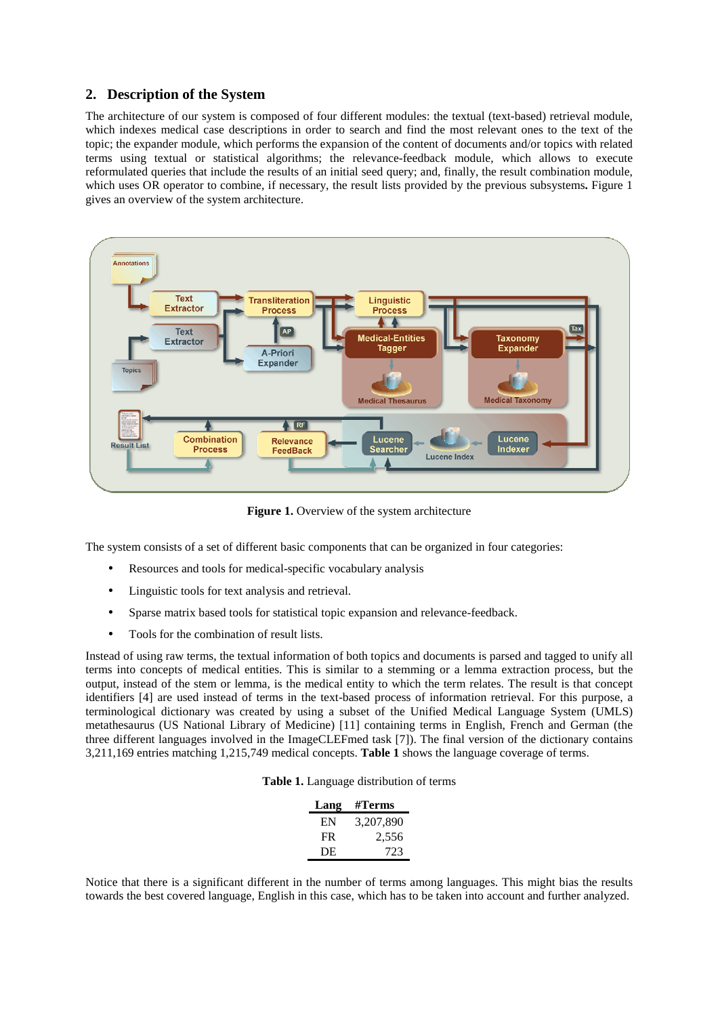## **2. Description of the System**

The architecture of our system is composed of four different modules: the textual (text-based) retrieval module, which indexes medical case descriptions in order to search and find the most relevant ones to the text of the topic; the expander module, which performs the expansion of the content of documents and/or topics with related terms using textual or statistical algorithms; the relevance-feedback module, which allows to execute reformulated queries that include the results of an initial seed query; and, finally, the result combination module, which uses OR operator to combine, if necessary, the result lists provided by the previous subsystems**.** Figure 1 gives an overview of the system architecture.



**Figure 1.** Overview of the system architecture

The system consists of a set of different basic components that can be organized in four categories:

- Resources and tools for medical-specific vocabulary analysis
- Linguistic tools for text analysis and retrieval.
- Sparse matrix based tools for statistical topic expansion and relevance-feedback.
- Tools for the combination of result lists.

Instead of using raw terms, the textual information of both topics and documents is parsed and tagged to unify all terms into concepts of medical entities. This is similar to a stemming or a lemma extraction process, but the output, instead of the stem or lemma, is the medical entity to which the term relates. The result is that concept identifiers [4] are used instead of terms in the text-based process of information retrieval. For this purpose, a terminological dictionary was created by using a subset of the Unified Medical Language System (UMLS) metathesaurus (US National Library of Medicine) [11] containing terms in English, French and German (the three different languages involved in the ImageCLEFmed task [7]). The final version of the dictionary contains 3,211,169 entries matching 1,215,749 medical concepts. **Table 1** shows the language coverage of terms.

**Table 1.** Language distribution of terms

| Lang | #Terms    |
|------|-----------|
| EN   | 3,207,890 |
| FR   | 2,556     |
| DE   | 723       |

Notice that there is a significant different in the number of terms among languages. This might bias the results towards the best covered language, English in this case, which has to be taken into account and further analyzed.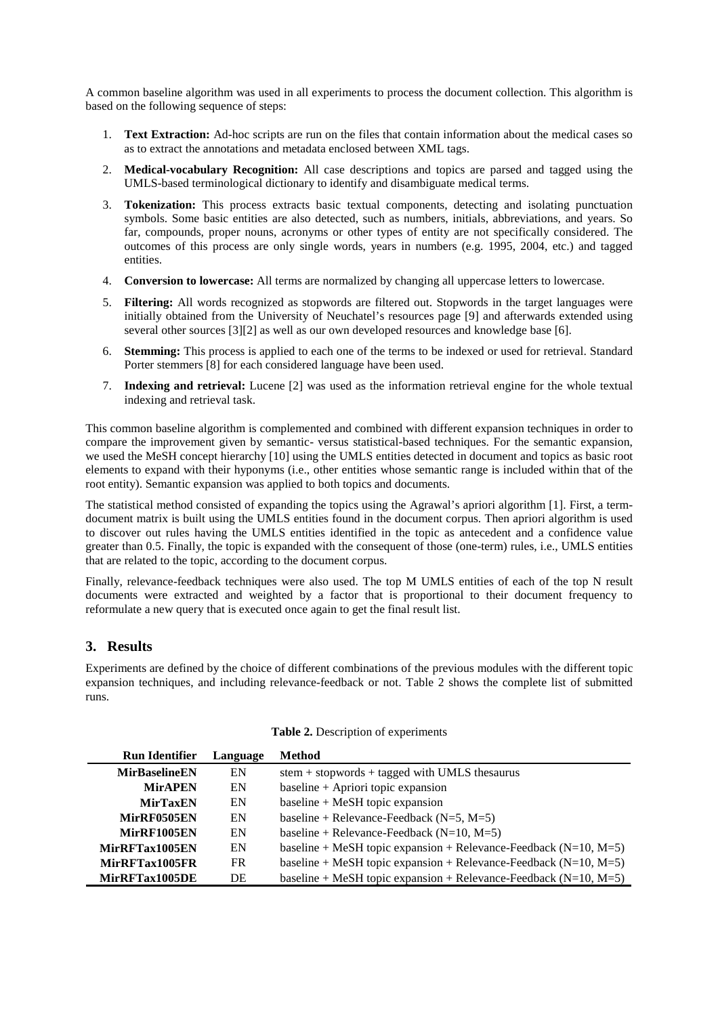A common baseline algorithm was used in all experiments to process the document collection. This algorithm is based on the following sequence of steps:

- 1. **Text Extraction:** Ad-hoc scripts are run on the files that contain information about the medical cases so as to extract the annotations and metadata enclosed between XML tags.
- 2. **Medical-vocabulary Recognition:** All case descriptions and topics are parsed and tagged using the UMLS-based terminological dictionary to identify and disambiguate medical terms.
- 3. **Tokenization:** This process extracts basic textual components, detecting and isolating punctuation symbols. Some basic entities are also detected, such as numbers, initials, abbreviations, and years. So far, compounds, proper nouns, acronyms or other types of entity are not specifically considered. The outcomes of this process are only single words, years in numbers (e.g. 1995, 2004, etc.) and tagged entities.
- 4. **Conversion to lowercase:** All terms are normalized by changing all uppercase letters to lowercase.
- 5. **Filtering:** All words recognized as stopwords are filtered out. Stopwords in the target languages were initially obtained from the University of Neuchatel's resources page [9] and afterwards extended using several other sources [3][2] as well as our own developed resources and knowledge base [6].
- 6. **Stemming:** This process is applied to each one of the terms to be indexed or used for retrieval. Standard Porter stemmers [8] for each considered language have been used.
- 7. **Indexing and retrieval:** Lucene [2] was used as the information retrieval engine for the whole textual indexing and retrieval task.

This common baseline algorithm is complemented and combined with different expansion techniques in order to compare the improvement given by semantic- versus statistical-based techniques. For the semantic expansion, we used the MeSH concept hierarchy [10] using the UMLS entities detected in document and topics as basic root elements to expand with their hyponyms (i.e., other entities whose semantic range is included within that of the root entity). Semantic expansion was applied to both topics and documents.

The statistical method consisted of expanding the topics using the Agrawal's apriori algorithm [1]. First, a termdocument matrix is built using the UMLS entities found in the document corpus. Then apriori algorithm is used to discover out rules having the UMLS entities identified in the topic as antecedent and a confidence value greater than 0.5. Finally, the topic is expanded with the consequent of those (one-term) rules, i.e., UMLS entities that are related to the topic, according to the document corpus.

Finally, relevance-feedback techniques were also used. The top M UMLS entities of each of the top N result documents were extracted and weighted by a factor that is proportional to their document frequency to reformulate a new query that is executed once again to get the final result list.

## **3. Results**

Experiments are defined by the choice of different combinations of the previous modules with the different topic expansion techniques, and including relevance-feedback or not. Table 2 shows the complete list of submitted runs.

| <b>Run Identifier</b> | Language | <b>Method</b>                                                           |
|-----------------------|----------|-------------------------------------------------------------------------|
| <b>MirBaselineEN</b>  | EN       | $stem + stopwords + tagged with UMLS the saurus$                        |
| <b>MirAPEN</b>        | EN       | baseline + Apriori topic expansion                                      |
| <b>MirTaxEN</b>       | EN       | baseline $+$ MeSH topic expansion                                       |
| MirRF0505EN           | EN       | baseline + Relevance-Feedback $(N=5, M=5)$                              |
| MirRF1005EN           | EN       | baseline + Relevance-Feedback ( $N=10$ , $M=5$ )                        |
| MirRFTax1005EN        | EN       | baseline + MeSH topic expansion + Relevance-Feedback ( $N=10$ , $M=5$ ) |
| MirRFTax1005FR        | FR.      | baseline + MeSH topic expansion + Relevance-Feedback ( $N=10$ , $M=5$ ) |
| MirRFTax1005DE        | DE       | baseline + MeSH topic expansion + Relevance-Feedback ( $N=10$ , $M=5$ ) |

#### **Table 2.** Description of experiments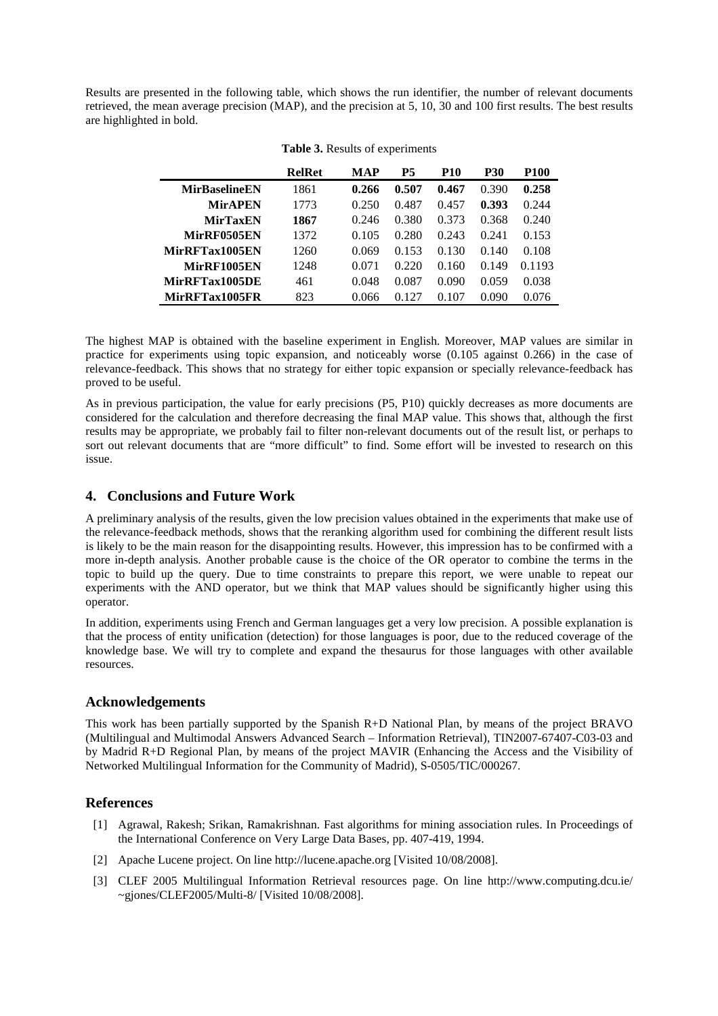Results are presented in the following table, which shows the run identifier, the number of relevant documents retrieved, the mean average precision (MAP), and the precision at 5, 10, 30 and 100 first results. The best results are highlighted in bold.

|                      | <b>RelRet</b> | MAP   | P5    | <b>P10</b> | <b>P30</b> | <b>P100</b> |
|----------------------|---------------|-------|-------|------------|------------|-------------|
| <b>MirBaselineEN</b> | 1861          | 0.266 | 0.507 | 0.467      | 0.390      | 0.258       |
| <b>MirAPEN</b>       | 1773          | 0.250 | 0.487 | 0.457      | 0.393      | 0.244       |
| <b>MirTaxEN</b>      | 1867          | 0.246 | 0.380 | 0.373      | 0.368      | 0.240       |
| MirRF0505EN          | 1372          | 0.105 | 0.280 | 0.243      | 0.241      | 0.153       |
| MirRFTax1005EN       | 1260          | 0.069 | 0.153 | 0.130      | 0.140      | 0.108       |
| MirRF1005EN          | 1248          | 0.071 | 0.220 | 0.160      | 0.149      | 0.1193      |
| MirRFTax1005DE       | 461           | 0.048 | 0.087 | 0.090      | 0.059      | 0.038       |
| MirRFTax1005FR       | 823           | 0.066 | 0.127 | 0.107      | 0.090      | 0.076       |

**Table 3.** Results of experiments

The highest MAP is obtained with the baseline experiment in English. Moreover, MAP values are similar in practice for experiments using topic expansion, and noticeably worse (0.105 against 0.266) in the case of relevance-feedback. This shows that no strategy for either topic expansion or specially relevance-feedback has proved to be useful.

As in previous participation, the value for early precisions (P5, P10) quickly decreases as more documents are considered for the calculation and therefore decreasing the final MAP value. This shows that, although the first results may be appropriate, we probably fail to filter non-relevant documents out of the result list, or perhaps to sort out relevant documents that are "more difficult" to find. Some effort will be invested to research on this issue.

# **4. Conclusions and Future Work**

A preliminary analysis of the results, given the low precision values obtained in the experiments that make use of the relevance-feedback methods, shows that the reranking algorithm used for combining the different result lists is likely to be the main reason for the disappointing results. However, this impression has to be confirmed with a more in-depth analysis. Another probable cause is the choice of the OR operator to combine the terms in the topic to build up the query. Due to time constraints to prepare this report, we were unable to repeat our experiments with the AND operator, but we think that MAP values should be significantly higher using this operator.

In addition, experiments using French and German languages get a very low precision. A possible explanation is that the process of entity unification (detection) for those languages is poor, due to the reduced coverage of the knowledge base. We will try to complete and expand the thesaurus for those languages with other available resources.

## **Acknowledgements**

This work has been partially supported by the Spanish R+D National Plan, by means of the project BRAVO (Multilingual and Multimodal Answers Advanced Search – Information Retrieval), TIN2007-67407-C03-03 and by Madrid R+D Regional Plan, by means of the project MAVIR (Enhancing the Access and the Visibility of Networked Multilingual Information for the Community of Madrid), S-0505/TIC/000267.

## **References**

- [1] Agrawal, Rakesh; Srikan, Ramakrishnan. Fast algorithms for mining association rules. In Proceedings of the International Conference on Very Large Data Bases, pp. 407-419, 1994.
- [2] Apache Lucene project. On line http://lucene.apache.org [Visited 10/08/2008].
- [3] CLEF 2005 Multilingual Information Retrieval resources page. On line http://www.computing.dcu.ie/  $\sim$ gjones/CLEF2005/Multi-8/ [Visited 10/08/2008].